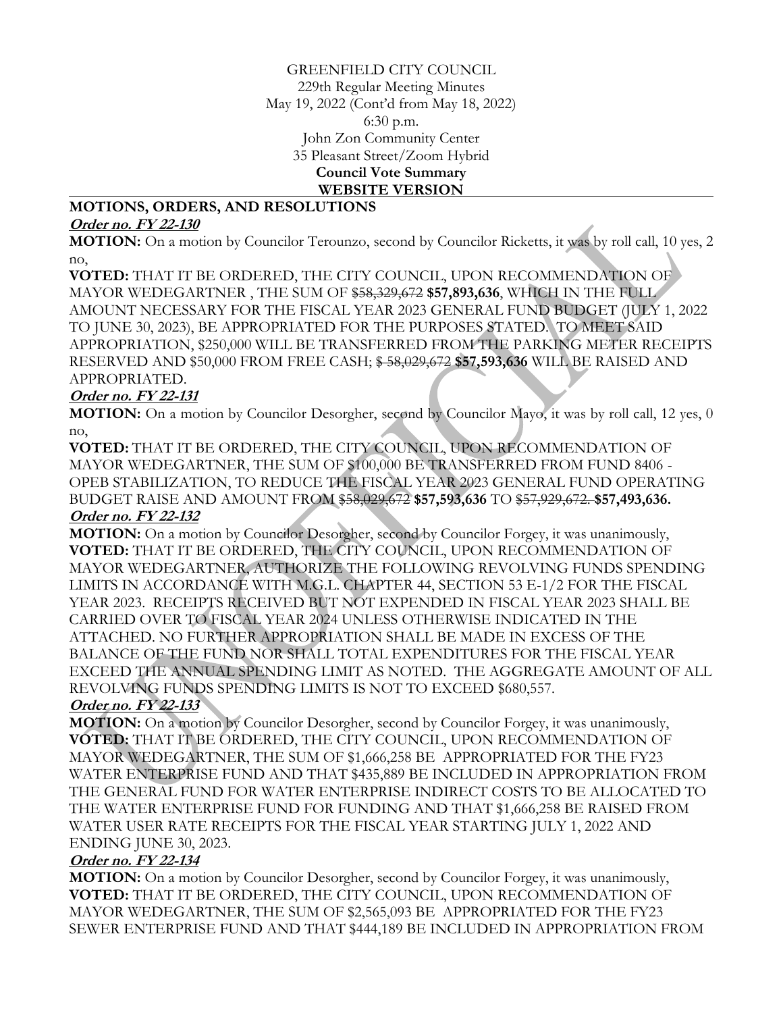GREENFIELD CITY COUNCIL 229th Regular Meeting Minutes May 19, 2022 (Cont'd from May 18, 2022) 6:30 p.m. John Zon Community Center 35 Pleasant Street/Zoom Hybrid **Council Vote Summary WEBSITE VERSION**

#### **MOTIONS, ORDERS, AND RESOLUTIONS**

#### **Order no. FY 22-130**

**MOTION:** On a motion by Councilor Terounzo, second by Councilor Ricketts, it was by roll call, 10 yes, 2 no,

**VOTED:** THAT IT BE ORDERED, THE CITY COUNCIL, UPON RECOMMENDATION OF MAYOR WEDEGARTNER , THE SUM OF \$58,329,672 **\$57,893,636**, WHICH IN THE FULL AMOUNT NECESSARY FOR THE FISCAL YEAR 2023 GENERAL FUND BUDGET (JULY 1, 2022 TO JUNE 30, 2023), BE APPROPRIATED FOR THE PURPOSES STATED. TO MEET SAID APPROPRIATION, \$250,000 WILL BE TRANSFERRED FROM THE PARKING METER RECEIPTS RESERVED AND \$50,000 FROM FREE CASH; \$ 58,029,672 **\$57,593,636** WILL BE RAISED AND APPROPRIATED.

### **Order no. FY 22-131**

**MOTION:** On a motion by Councilor Desorgher, second by Councilor Mayo, it was by roll call, 12 yes, 0 no,

**VOTED:** THAT IT BE ORDERED, THE CITY COUNCIL, UPON RECOMMENDATION OF MAYOR WEDEGARTNER, THE SUM OF \$100,000 BE TRANSFERRED FROM FUND 8406 - OPEB STABILIZATION, TO REDUCE THE FISCAL YEAR 2023 GENERAL FUND OPERATING BUDGET RAISE AND AMOUNT FROM \$58,029,672 **\$57,593,636** TO \$57,929,672. **\$57,493,636. Order no. FY 22-132**

**MOTION:** On a motion by Councilor Desorgher, second by Councilor Forgey, it was unanimously, **VOTED:** THAT IT BE ORDERED, THE CITY COUNCIL, UPON RECOMMENDATION OF MAYOR WEDEGARTNER, AUTHORIZE THE FOLLOWING REVOLVING FUNDS SPENDING LIMITS IN ACCORDANCE WITH M.G.L. CHAPTER 44, SECTION 53 E-1/2 FOR THE FISCAL YEAR 2023. RECEIPTS RECEIVED BUT NOT EXPENDED IN FISCAL YEAR 2023 SHALL BE CARRIED OVER TO FISCAL YEAR 2024 UNLESS OTHERWISE INDICATED IN THE ATTACHED. NO FURTHER APPROPRIATION SHALL BE MADE IN EXCESS OF THE BALANCE OF THE FUND NOR SHALL TOTAL EXPENDITURES FOR THE FISCAL YEAR EXCEED THE ANNUAL SPENDING LIMIT AS NOTED. THE AGGREGATE AMOUNT OF ALL REVOLVING FUNDS SPENDING LIMITS IS NOT TO EXCEED \$680,557.

### **Order no. FY 22-133**

**MOTION:** On a motion by Councilor Desorgher, second by Councilor Forgey, it was unanimously, **VOTED:** THAT IT BE ORDERED, THE CITY COUNCIL, UPON RECOMMENDATION OF MAYOR WEDEGARTNER, THE SUM OF \$1,666,258 BE APPROPRIATED FOR THE FY23 WATER ENTERPRISE FUND AND THAT \$435,889 BE INCLUDED IN APPROPRIATION FROM THE GENERAL FUND FOR WATER ENTERPRISE INDIRECT COSTS TO BE ALLOCATED TO THE WATER ENTERPRISE FUND FOR FUNDING AND THAT \$1,666,258 BE RAISED FROM WATER USER RATE RECEIPTS FOR THE FISCAL YEAR STARTING JULY 1, 2022 AND ENDING JUNE 30, 2023.

### **Order no. FY 22-134**

**MOTION:** On a motion by Councilor Desorgher, second by Councilor Forgey, it was unanimously, **VOTED:** THAT IT BE ORDERED, THE CITY COUNCIL, UPON RECOMMENDATION OF MAYOR WEDEGARTNER, THE SUM OF \$2,565,093 BE APPROPRIATED FOR THE FY23 SEWER ENTERPRISE FUND AND THAT \$444,189 BE INCLUDED IN APPROPRIATION FROM